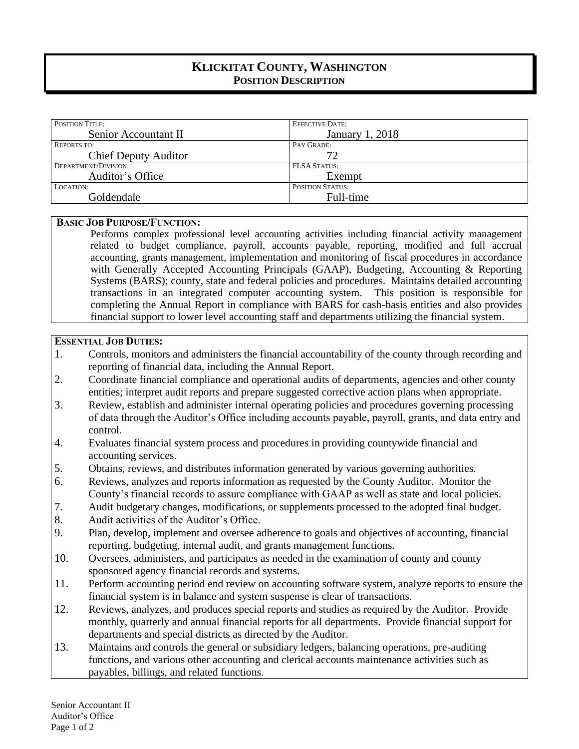# **KLICKITAT COUNTY, WASHINGTON POSITION DESCRIPTION**

| <b>POSITION TITLE:</b>      | <b>EFFECTIVE DATE:</b>  |
|-----------------------------|-------------------------|
| Senior Accountant II        | January 1, 2018         |
| <b>REPORTS TO:</b>          | PAY GRADE:              |
| <b>Chief Deputy Auditor</b> | 72                      |
| DEPARTMENT/DIVISION:        | <b>FLSA STATUS:</b>     |
| Auditor's Office            | Exempt                  |
| LOCATION:                   | <b>POSITION STATUS:</b> |
| Goldendale                  | Full-time               |

#### **BASIC JOB PURPOSE/FUNCTION:**

Performs complex professional level accounting activities including financial activity management related to budget compliance, payroll, accounts payable, reporting, modified and full accrual accounting, grants management, implementation and monitoring of fiscal procedures in accordance with Generally Accepted Accounting Principals (GAAP), Budgeting, Accounting & Reporting Systems (BARS); county, state and federal policies and procedures. Maintains detailed accounting transactions in an integrated computer accounting system. This position is responsible for completing the Annual Report in compliance with BARS for cash-basis entities and also provides financial support to lower level accounting staff and departments utilizing the financial system.

## **ESSENTIAL JOB DUTIES:**

- 1. Controls, monitors and administers the financial accountability of the county through recording and reporting of financial data, including the Annual Report.
- 2. Coordinate financial compliance and operational audits of departments, agencies and other county entities; interpret audit reports and prepare suggested corrective action plans when appropriate.
- 3. Review, establish and administer internal operating policies and procedures governing processing of data through the Auditor's Office including accounts payable, payroll, grants, and data entry and control.
- 4. Evaluates financial system process and procedures in providing countywide financial and accounting services.
- 5. Obtains, reviews, and distributes information generated by various governing authorities.
- 6. Reviews, analyzes and reports information as requested by the County Auditor. Monitor the County's financial records to assure compliance with GAAP as well as state and local policies.
- 7. Audit budgetary changes, modifications, or supplements processed to the adopted final budget.
- 8. Audit activities of the Auditor's Office.
- 9. Plan, develop, implement and oversee adherence to goals and objectives of accounting, financial reporting, budgeting, internal audit, and grants management functions.
- 10. Oversees, administers, and participates as needed in the examination of county and county sponsored agency financial records and systems.
- 11. Perform accounting period end review on accounting software system, analyze reports to ensure the financial system is in balance and system suspense is clear of transactions.
- 12. Reviews, analyzes, and produces special reports and studies as required by the Auditor. Provide monthly, quarterly and annual financial reports for all departments. Provide financial support for departments and special districts as directed by the Auditor.
- 13. Maintains and controls the general or subsidiary ledgers, balancing operations, pre-auditing functions, and various other accounting and clerical accounts maintenance activities such as payables, billings, and related functions.